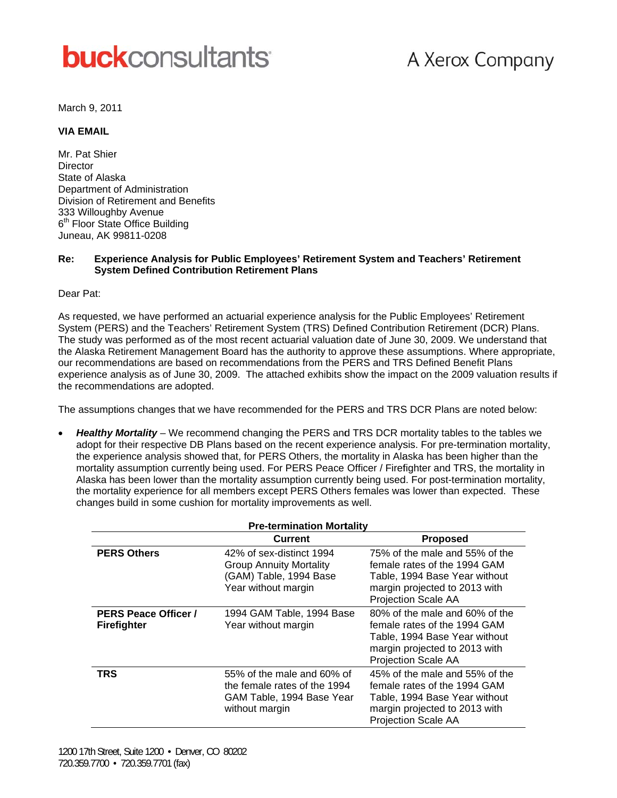# **buck**consultants

## A Xerox Company

March 9, 2011

#### **VIA EMAIL**

Mr. Pat Shier Director State of Alaska Department of Administration Division of Retirement and Benefits 333 Willoughby Avenue 6<sup>th</sup> Floor State Office Building Juneau, AK 99811-0208

#### Experience Analysis for Public Employees' Retirement System and Teachers' Retirement Re: **System Defined Contribution Retirement Plans**

Dear Pat:

As requested, we have performed an actuarial experience analysis for the Public Employees' Retirement System (PERS) and the Teachers' Retirement System (TRS) Defined Contribution Retirement (DCR) Plans. The study was performed as of the most recent actuarial valuation date of June 30, 2009. We understand that the Alaska Retirement Management Board has the authority to approve these assumptions. Where appropriate, our recommendations are based on recommendations from the PERS and TRS Defined Benefit Plans experience analysis as of June 30, 2009. The attached exhibits show the impact on the 2009 valuation results if the recommendations are adopted.

The assumptions changes that we have recommended for the PERS and TRS DCR Plans are noted below:

Healthy Mortality – We recommend changing the PERS and TRS DCR mortality tables to the tables we adopt for their respective DB Plans based on the recent experience analysis. For pre-termination mortality, the experience analysis showed that, for PERS Others, the mortality in Alaska has been higher than the mortality assumption currently being used. For PERS Peace Officer / Firefighter and TRS, the mortality in Alaska has been lower than the mortality assumption currently being used. For post-termination mortality, the mortality experience for all members except PERS Others females was lower than expected. These changes build in some cushion for mortality improvements as well.

| <b>Pre-termination Mortality</b>                  |                                                                                                             |                                                                                                                                                                |  |  |  |
|---------------------------------------------------|-------------------------------------------------------------------------------------------------------------|----------------------------------------------------------------------------------------------------------------------------------------------------------------|--|--|--|
|                                                   | Current                                                                                                     | <b>Proposed</b>                                                                                                                                                |  |  |  |
| <b>PERS Others</b>                                | 42% of sex-distinct 1994<br><b>Group Annuity Mortality</b><br>(GAM) Table, 1994 Base<br>Year without margin | 75% of the male and 55% of the<br>female rates of the 1994 GAM<br>Table, 1994 Base Year without<br>margin projected to 2013 with<br>Projection Scale AA        |  |  |  |
| <b>PERS Peace Officer /</b><br><b>Firefighter</b> | 1994 GAM Table, 1994 Base<br>Year without margin                                                            | 80% of the male and 60% of the<br>female rates of the 1994 GAM<br>Table, 1994 Base Year without<br>margin projected to 2013 with<br>Projection Scale AA        |  |  |  |
| <b>TRS</b>                                        | 55% of the male and 60% of<br>the female rates of the 1994<br>GAM Table, 1994 Base Year<br>without margin   | 45% of the male and 55% of the<br>female rates of the 1994 GAM<br>Table, 1994 Base Year without<br>margin projected to 2013 with<br><b>Projection Scale AA</b> |  |  |  |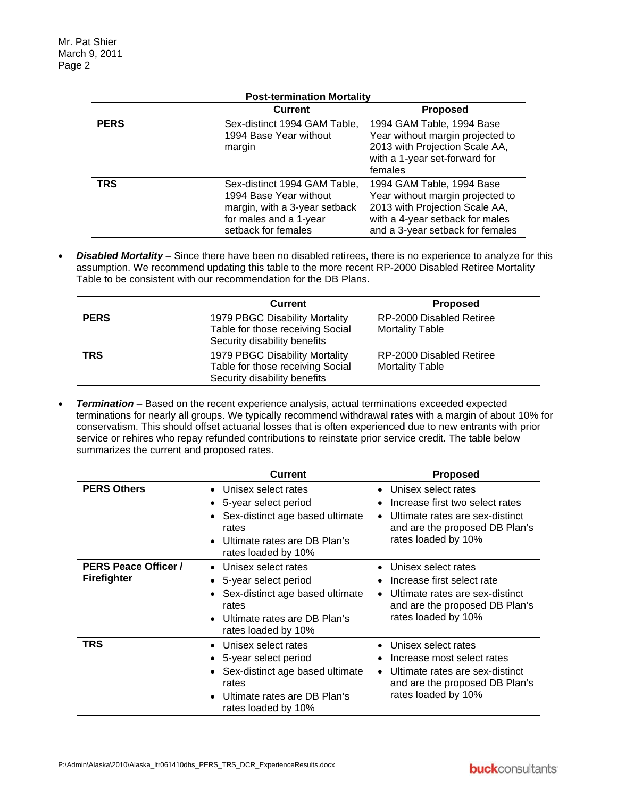|                                   | <b>Post-termination Mortality</b>                                                                                                        |                                                                                                                                                                        |  |  |  |  |
|-----------------------------------|------------------------------------------------------------------------------------------------------------------------------------------|------------------------------------------------------------------------------------------------------------------------------------------------------------------------|--|--|--|--|
| <b>Current</b><br><b>Proposed</b> |                                                                                                                                          |                                                                                                                                                                        |  |  |  |  |
| <b>PERS</b>                       | Sex-distinct 1994 GAM Table,<br>1994 Base Year without<br>margin                                                                         | 1994 GAM Table, 1994 Base<br>Year without margin projected to<br>2013 with Projection Scale AA,<br>with a 1-year set-forward for<br>females                            |  |  |  |  |
| <b>TRS</b>                        | Sex-distinct 1994 GAM Table,<br>1994 Base Year without<br>margin, with a 3-year setback<br>for males and a 1-year<br>setback for females | 1994 GAM Table, 1994 Base<br>Year without margin projected to<br>2013 with Projection Scale AA,<br>with a 4-year setback for males<br>and a 3-year setback for females |  |  |  |  |

Disabled Mortality – Since there have been no disabled retirees, there is no experience to analyze for this  $\bullet$ assumption. We recommend updating this table to the more recent RP-2000 Disabled Retiree Mortality Table to be consistent with our recommendation for the DB Plans.

|             | <b>Current</b>                                                                                     | <b>Proposed</b>                                    |
|-------------|----------------------------------------------------------------------------------------------------|----------------------------------------------------|
| <b>PERS</b> | 1979 PBGC Disability Mortality<br>Table for those receiving Social<br>Security disability benefits | RP-2000 Disabled Retiree<br><b>Mortality Table</b> |
| <b>TRS</b>  | 1979 PBGC Disability Mortality<br>Table for those receiving Social<br>Security disability benefits | RP-2000 Disabled Retiree<br><b>Mortality Table</b> |

Termination - Based on the recent experience analysis, actual terminations exceeded expected  $\bullet$ terminations for nearly all groups. We typically recommend withdrawal rates with a margin of about 10% for conservatism. This should offset actuarial losses that is often experienced due to new entrants with prior service or rehires who repay refunded contributions to reinstate prior service credit. The table below summarizes the current and proposed rates.

|                                                   | <b>Current</b>                                                                                                                                                                          | <b>Proposed</b>                                                                                                                                                              |
|---------------------------------------------------|-----------------------------------------------------------------------------------------------------------------------------------------------------------------------------------------|------------------------------------------------------------------------------------------------------------------------------------------------------------------------------|
| <b>PERS Others</b>                                | Unisex select rates<br>$\bullet$<br>5-year select period<br>Sex-distinct age based ultimate<br>rates<br>Ultimate rates are DB Plan's<br>$\bullet$<br>rates loaded by 10%                | Unisex select rates<br>$\bullet$<br>Increase first two select rates<br>Ultimate rates are sex-distinct<br>$\bullet$<br>and are the proposed DB Plan's<br>rates loaded by 10% |
| <b>PERS Peace Officer /</b><br><b>Firefighter</b> | Unisex select rates<br>$\bullet$<br>5-year select period<br>$\bullet$<br>• Sex-distinct age based ultimate<br>rates<br>Ultimate rates are DB Plan's<br>$\bullet$<br>rates loaded by 10% | Unisex select rates<br>Increase first select rate<br>• Ultimate rates are sex-distinct<br>and are the proposed DB Plan's<br>rates loaded by 10%                              |
| TRS                                               | Unisex select rates<br>$\bullet$<br>5-year select period<br>Sex-distinct age based ultimate<br>rates<br>Ultimate rates are DB Plan's<br>$\bullet$<br>rates loaded by 10%                | Unisex select rates<br>Increase most select rates<br>Ultimate rates are sex-distinct<br>$\bullet$<br>and are the proposed DB Plan's<br>rates loaded by 10%                   |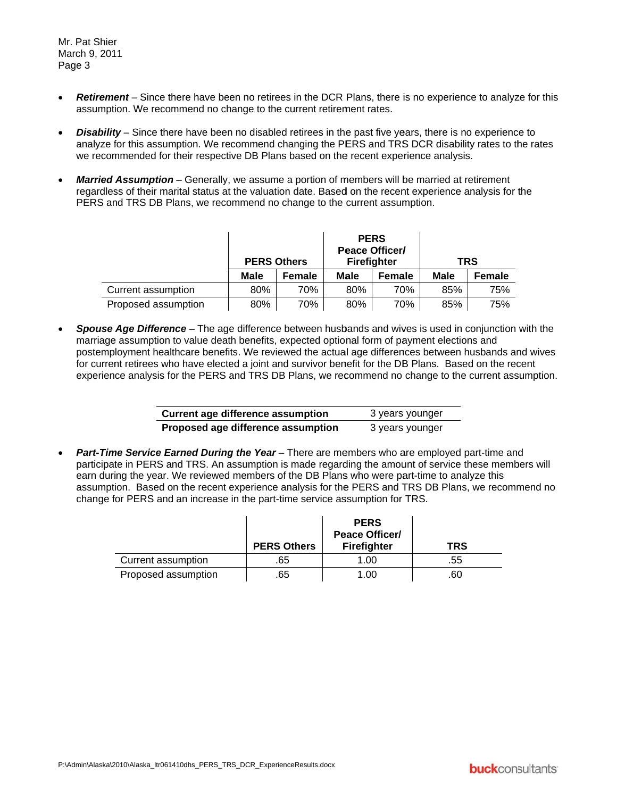Mr. Pat Shier March 9, 2011 Page 3

- **Retirement** Since there have been no retirees in the DCR Plans, there is no experience to analyze for this assumption. We recommend no change to the current retirement rates.
- **Disability** Since there have been no disabled retirees in the past five years, there is no experience to analyze for this assumption. We recommend changing the PERS and TRS DCR disability rates to the rates we recommended for their respective DB Plans based on the recent experience analysis.
- **Married Assumption** Generally, we assume a portion of members will be married at retirement regardless of their marital status at the valuation date. Based on the recent experience analysis for the PERS and TRS DB Plans, we recommend no change to the current assumption.

|                     | <b>PERS Others</b> |        | <b>PERS</b><br><b>Peace Officer/</b><br><b>Firefighter</b> |        | <b>TRS</b>  |               |
|---------------------|--------------------|--------|------------------------------------------------------------|--------|-------------|---------------|
|                     | Male               | Female | Male                                                       | Female | <b>Male</b> | <b>Female</b> |
| Current assumption  | 80%                | 70%    | 80%                                                        | 70%    | 85%         | 75%           |
| Proposed assumption | 80%                | 70%    | 80%                                                        | 70%    | 85%         | 75%           |

Spouse Age Difference – The age difference between husbands and wives is used in conjunction with the marriage assumption to value death benefits, expected optional form of payment elections and postemployment healthcare benefits. We reviewed the actual age differences between husbands and wives for current retirees who have elected a joint and survivor benefit for the DB Plans. Based on the recent experience analysis for the PERS and TRS DB Plans, we recommend no change to the current assumption.

| <b>Current age difference assumption</b> | 3 years younger |
|------------------------------------------|-----------------|
| Proposed age difference assumption       | 3 years younger |

Part-Time Service Earned During the Year - There are members who are employed part-time and participate in PERS and TRS. An assumption is made regarding the amount of service these members will earn during the year. We reviewed members of the DB Plans who were part-time to analyze this assumption. Based on the recent experience analysis for the PERS and TRS DB Plans, we recommend no change for PERS and an increase in the part-time service assumption for TRS.

|                     | <b>PERS Others</b> | <b>PERS</b><br><b>Peace Officer/</b><br><b>Firefighter</b> | TRS |
|---------------------|--------------------|------------------------------------------------------------|-----|
| Current assumption  | .65                | 1.00                                                       | .55 |
| Proposed assumption | .65                | 1.00                                                       | .60 |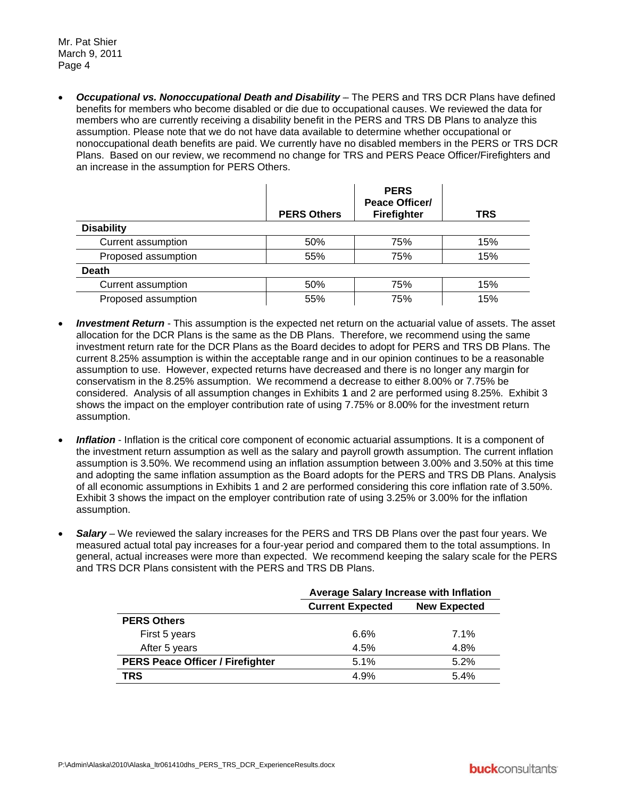**• Occupational vs. Nonoccupational Death and Disability** – The PERS and TRS DCR Plans have defined benefits for members who become disabled or die due to occupational causes. We reviewed the data for members who are currently receiving a disability benefit in the PERS and TRS DB Plans to analyze this assumption. Please note that we do not have data available to determine whether occupational or nonoccupational death benefits are paid. We currently have no disabled members in the PERS or TRS DCR Plans. Based on our review, we recommend no change for TRS and PERS Peace Officer/Firefighters and an increase in the assumption for PERS Others.

|                           | <b>PERS Others</b> | <b>PERS</b><br><b>Peace Officer/</b><br>Firefighter | <b>TRS</b> |
|---------------------------|--------------------|-----------------------------------------------------|------------|
| <b>Disability</b>         |                    |                                                     |            |
| <b>Current assumption</b> | 50%                | 75%                                                 | 15%        |
| Proposed assumption       | 55%                | 75%                                                 | 15%        |
| <b>Death</b>              |                    |                                                     |            |
| Current assumption        | 50%                | 75%                                                 | 15%        |
| Proposed assumption       | 55%                | 75%                                                 | 15%        |

- *Investment Return* This assumption is the expected net return on the actuarial value of assets. The asset allocation for the DCR Plans is the same as the DB Plans. Therefore, we recommend using the same investment return rate for the DCR Plans as the Board decides to adopt for PERS and TRS DB Plans. The current 8.25% assumption is within the acceptable range and in our opinion continues to be a reasonable assumption to use. However, expected returns have decreased and there is no longer any margin for conservatism in the 8.25% assumption. We recommend a decrease to either 8.00% or 7.75% be considered. Analysis of all assumption changes in Exhibits 1 and 2 are performed using 8.25%. Exhibit 3 shows the impact on the employer contribution rate of using 7.75% or 8.00% for the investment return assumption.
- **Inflation** Inflation is the critical core component of economic actuarial assumptions. It is a component of the investment return assumption as well as the salary and payroll growth assumption. The current inflation assumption is 3.50%. We recommend using an inflation assumption between 3.00% and 3.50% at this time and adopting the same inflation assumption as the Board adopts for the PERS and TRS DB Plans. Analysis of all economic assumptions in Exhibits 1 and 2 are performed considering this core inflation rate of 3.50%. Exhibit 3 shows the impact on the employer contribution rate of using 3.25% or 3.00% for the inflation assumption.
- Salary We reviewed the salary increases for the PERS and TRS DB Plans over the past four years. We measured actual total pay increases for a four-year period and compared them to the total assumptions. In general, actual increases were more than expected. We recommend keeping the salary scale for the PERS and TRS DCR Plans consistent with the PERS and TRS DB Plans.

|                                         | <b>Average Salary Increase with Inflation</b>  |      |  |  |
|-----------------------------------------|------------------------------------------------|------|--|--|
|                                         | <b>Current Expected</b><br><b>New Expected</b> |      |  |  |
| <b>PERS Others</b>                      |                                                |      |  |  |
| First 5 years                           | 6.6%                                           | 7.1% |  |  |
| After 5 years                           | 4.5%                                           | 4.8% |  |  |
| <b>PERS Peace Officer / Firefighter</b> | 5.1%                                           | 5.2% |  |  |
| TRS                                     | 4.9%                                           | 5.4% |  |  |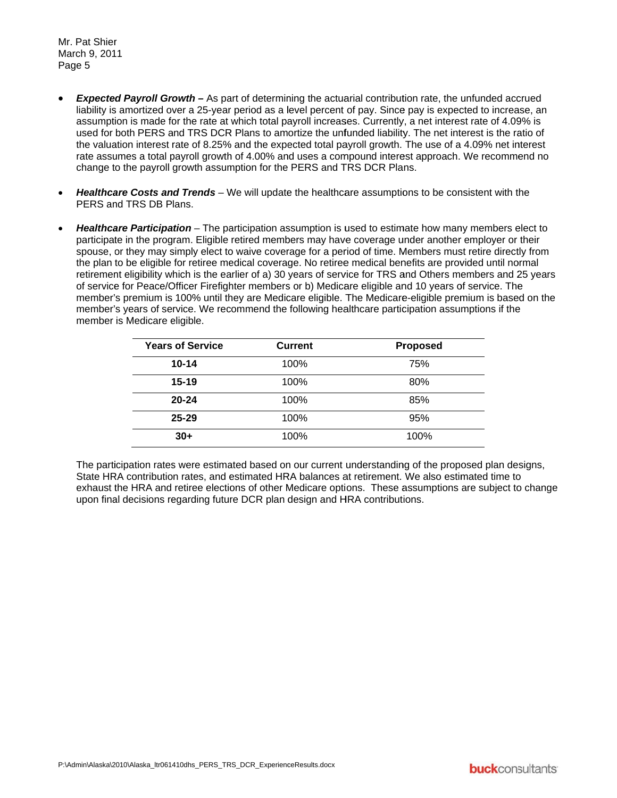Mr. Pat Shier March 9, 2011 Page 5

- **Expected Payroll Growth As part of determining the actuarial contribution rate, the unfunded accrued** liability is amortized over a 25-year period as a level percent of pay. Since pay is expected to increase, an assumption is made for the rate at which total payroll increases. Currently, a net interest rate of 4.09% is used for both PERS and TRS DCR Plans to amortize the unfunded liability. The net interest is the ratio of the valuation interest rate of 8.25% and the expected total payroll growth. The use of a 4.09% net interest rate assumes a total payroll growth of 4.00% and uses a compound interest approach. We recommend no change to the payroll growth assumption for the PERS and TRS DCR Plans.
- Healthcare Costs and Trends We will update the healthcare assumptions to be consistent with the PERS and TRS DB Plans.
- Healthcare Participation The participation assumption is used to estimate how many members elect to participate in the program. Eligible retired members may have coverage under another employer or their spouse, or they may simply elect to waive coverage for a period of time. Members must retire directly from the plan to be eligible for retiree medical coverage. No retiree medical benefits are provided until normal retirement eligibility which is the earlier of a) 30 years of service for TRS and Others members and 25 years of service for Peace/Officer Firefighter members or b) Medicare eligible and 10 years of service. The member's premium is 100% until they are Medicare eligible. The Medicare-eligible premium is based on the member's years of service. We recommend the following healthcare participation assumptions if the member is Medicare eligible.

| <b>Years of Service</b> | <b>Current</b> | <b>Proposed</b> |
|-------------------------|----------------|-----------------|
| $10 - 14$               | 100%           | 75%             |
| $15 - 19$               | 100%           | 80%             |
| $20 - 24$               | 100%           | 85%             |
| $25 - 29$               | 100%           | 95%             |
| $30+$                   | 100%           | 100%            |

The participation rates were estimated based on our current understanding of the proposed plan designs, State HRA contribution rates, and estimated HRA balances at retirement. We also estimated time to exhaust the HRA and retiree elections of other Medicare options. These assumptions are subject to change upon final decisions regarding future DCR plan design and HRA contributions.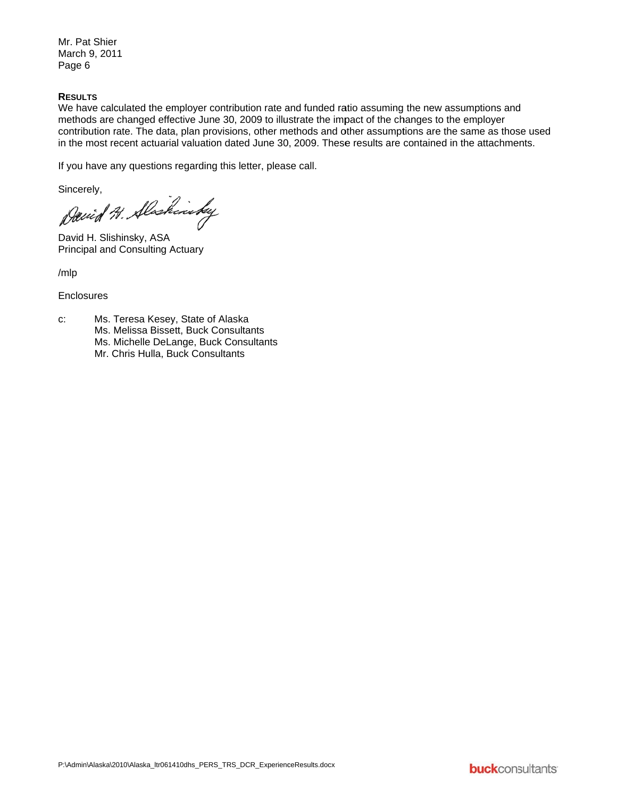Mr. Pat Shier March 9, 2011 Page 6

#### **RESULTS**

We have calculated the employer contribution rate and funded ratio assuming the new assumptions and methods are changed effective June 30, 2009 to illustrate the impact of the changes to the employer contribution rate. The data, plan provisions, other methods and other assumptions are the same as those used in the most recent actuarial valuation dated June 30, 2009. These results are contained in the attachments.

If you have any questions regarding this letter, please call.

Sincerely,

David H. Alaskinsky

David H. Slishinsky, ASA **Principal and Consulting Actuary** 

 $/mlp$ 

#### Enclosures

Ms. Teresa Kesey, State of Alaska  $C$ : Ms. Melissa Bissett, Buck Consultants Ms. Michelle DeLange, Buck Consultants Mr. Chris Hulla, Buck Consultants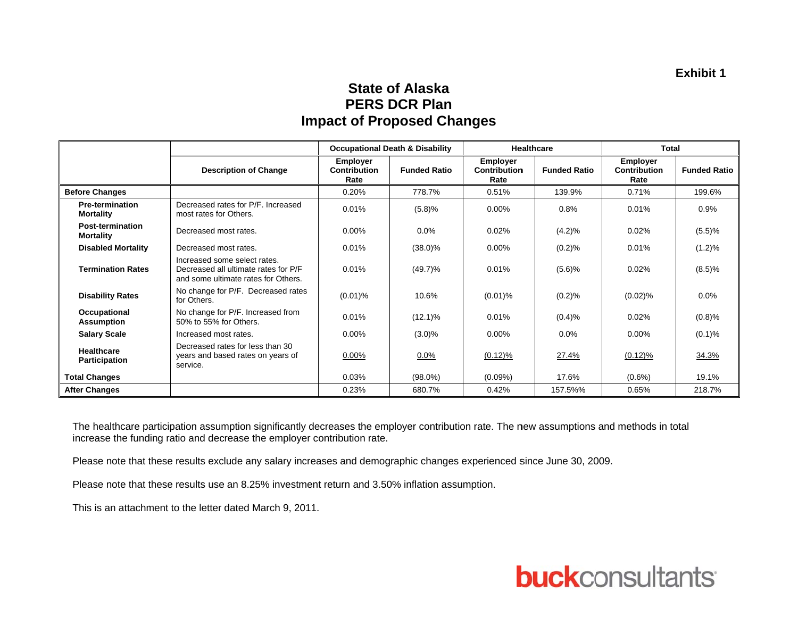### **State of Alaska PERS DCR Plan Impact of Proposed Changes**

|                                             |                                                                                                             |                                                | <b>Occupational Death &amp; Disability</b> | <b>Healthcare</b>                              |                     | <b>Total</b>                                   |                     |
|---------------------------------------------|-------------------------------------------------------------------------------------------------------------|------------------------------------------------|--------------------------------------------|------------------------------------------------|---------------------|------------------------------------------------|---------------------|
|                                             | <b>Description of Change</b>                                                                                | <b>Employer</b><br><b>Contribution</b><br>Rate | <b>Funded Ratio</b>                        | <b>Employer</b><br><b>Contribution</b><br>Rate | <b>Funded Ratio</b> | <b>Employer</b><br><b>Contribution</b><br>Rate | <b>Funded Ratio</b> |
| <b>Before Changes</b>                       |                                                                                                             | 0.20%                                          | 778.7%                                     | 0.51%                                          | 139.9%              | 0.71%                                          | 199.6%              |
| <b>Pre-termination</b><br><b>Mortality</b>  | Decreased rates for P/F. Increased<br>most rates for Others.                                                | 0.01%                                          | (5.8)%                                     | $0.00\%$                                       | 0.8%                | 0.01%                                          | 0.9%                |
| <b>Post-termination</b><br><b>Mortality</b> | Decreased most rates.                                                                                       | $0.00\%$                                       | $0.0\%$                                    | 0.02%                                          | (4.2)%              | 0.02%                                          | (5.5)%              |
| <b>Disabled Mortality</b>                   | Decreased most rates.                                                                                       | 0.01%                                          | $(38.0)\%$                                 | 0.00%                                          | (0.2)%              | 0.01%                                          | (1.2)%              |
| <b>Termination Rates</b>                    | Increased some select rates.<br>Decreased all ultimate rates for P/F<br>and some ultimate rates for Others. | 0.01%                                          | $(49.7)\%$                                 | 0.01%                                          | (5.6)%              | 0.02%                                          | (8.5)%              |
| <b>Disability Rates</b>                     | No change for P/F. Decreased rates<br>for Others.                                                           | $(0.01)$ %                                     | 10.6%                                      | $(0.01)\%$                                     | (0.2)%              | (0.02)%                                        | 0.0%                |
| Occupational<br><b>Assumption</b>           | No change for P/F. Increased from<br>50% to 55% for Others.                                                 | 0.01%                                          | $(12.1)\%$                                 | 0.01%                                          | (0.4)%              | 0.02%                                          | (0.8)%              |
| <b>Salary Scale</b>                         | Increased most rates.                                                                                       | 0.00%                                          | $(3.0)\%$                                  | 0.00%                                          | $0.0\%$             | $0.00\%$                                       | (0.1)%              |
| <b>Healthcare</b><br><b>Participation</b>   | Decreased rates for less than 30<br>years and based rates on years of<br>service.                           | 0.00%                                          | $0.0\%$                                    | $(0.12)\%$                                     | 27.4%               | $(0.12)\%$                                     | 34.3%               |
| <b>Total Changes</b>                        |                                                                                                             | 0.03%                                          | $(98.0\%)$                                 | $(0.09\%)$                                     | 17.6%               | $(0.6\%)$                                      | 19.1%               |
| <b>After Changes</b>                        |                                                                                                             | 0.23%                                          | 680.7%                                     | 0.42%                                          | 157.5%%             | 0.65%                                          | 218.7%              |

The healthcare participation assumption significantly decreases the employer contribution rate. The new assumptions and methods in total increase the funding ratio and decrease the employer contribution rate.

Please note that these results exclude any salary increases and demographic changes experienced since June 30, 2009.

Please note that these results use an 8.25% investment return and 3.50% inflation assumption.

This is an attachment to the letter dated March 9, 2011.

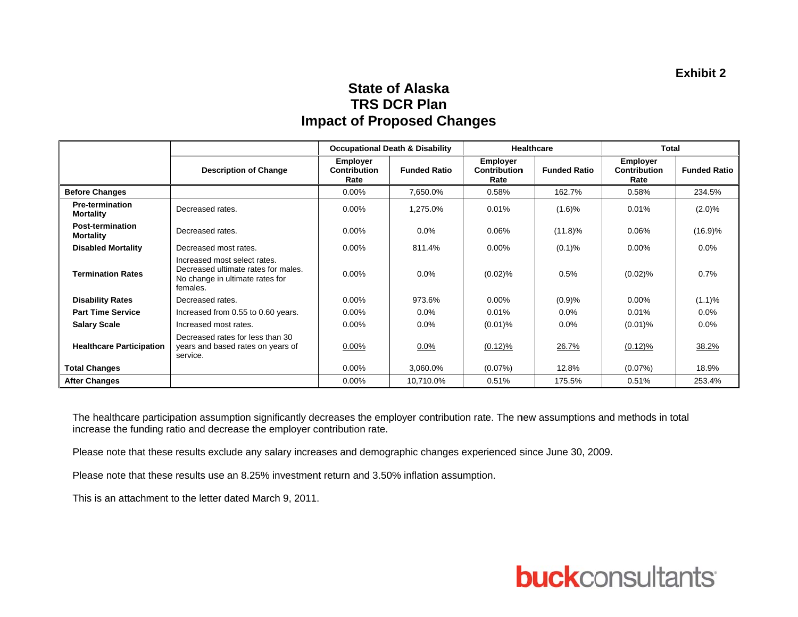### **State of Alaska TRS DCR Plan Impact of Proposed Changes**

|                                            |                                                                                                                    |                                                | <b>Occupational Death &amp; Disability</b> | Healthcare                              |                     | <b>Total</b>                                   |                     |
|--------------------------------------------|--------------------------------------------------------------------------------------------------------------------|------------------------------------------------|--------------------------------------------|-----------------------------------------|---------------------|------------------------------------------------|---------------------|
|                                            | <b>Description of Change</b>                                                                                       | <b>Employer</b><br><b>Contribution</b><br>Rate | <b>Funded Ratio</b>                        | <b>Employer</b><br>Contribution<br>Rate | <b>Funded Ratio</b> | <b>Employer</b><br><b>Contribution</b><br>Rate | <b>Funded Ratio</b> |
| <b>Before Changes</b>                      |                                                                                                                    | $0.00\%$                                       | 7,650.0%                                   | 0.58%                                   | 162.7%              | 0.58%                                          | 234.5%              |
| <b>Pre-termination</b><br><b>Mortality</b> | Decreased rates.                                                                                                   | $0.00\%$                                       | 1,275.0%                                   | 0.01%                                   | (1.6)%              | 0.01%                                          | $(2.0)\%$           |
| Post-termination<br><b>Mortality</b>       | Decreased rates.                                                                                                   | $0.00\%$                                       | $0.0\%$                                    | 0.06%                                   | $(11.8)\%$          | 0.06%                                          | (16.9)%             |
| <b>Disabled Mortality</b>                  | Decreased most rates.                                                                                              | 0.00%                                          | 811.4%                                     | 0.00%                                   | (0.1)%              | $0.00\%$                                       | 0.0%                |
| <b>Termination Rates</b>                   | Increased most select rates.<br>Decreased ultimate rates for males.<br>No change in ultimate rates for<br>females. | 0.00%                                          | $0.0\%$                                    | $(0.02)\%$                              | 0.5%                | $(0.02)\%$                                     | 0.7%                |
| <b>Disability Rates</b>                    | Decreased rates.                                                                                                   | $0.00\%$                                       | 973.6%                                     | $0.00\%$                                | (0.9)%              | $0.00\%$                                       | $(1.1)\%$           |
| <b>Part Time Service</b>                   | Increased from 0.55 to 0.60 years.                                                                                 | $0.00\%$                                       | $0.0\%$                                    | 0.01%                                   | $0.0\%$             | 0.01%                                          | $0.0\%$             |
| <b>Salary Scale</b>                        | Increased most rates.                                                                                              | $0.00\%$                                       | $0.0\%$                                    | $(0.01)\%$                              | $0.0\%$             | $(0.01)\%$                                     | $0.0\%$             |
| <b>Healthcare Participation</b>            | Decreased rates for less than 30<br>years and based rates on years of<br>service.                                  | $0.00\%$                                       | $0.0\%$                                    | $(0.12)\%$                              | 26.7%               | $(0.12)\%$                                     | 38.2%               |
| <b>Total Changes</b>                       |                                                                                                                    | $0.00\%$                                       | 3,060.0%                                   | (0.07%)                                 | 12.8%               | $(0.07\%)$                                     | 18.9%               |
| <b>After Changes</b>                       |                                                                                                                    | $0.00\%$                                       | 10,710.0%                                  | 0.51%                                   | 175.5%              | 0.51%                                          | 253.4%              |

The healthcare participation assumption significantly decreases the employer contribution rate. The new assumptions and methods in total increase the funding ratio and decrease the employer contribution rate.

Please note that these results exclude any salary increases and demographic changes experienced since June 30, 2009.

Please note that these results use an 8.25% investment return and 3.50% inflation assumption.

This is an attachment to the letter dated March 9, 2011.